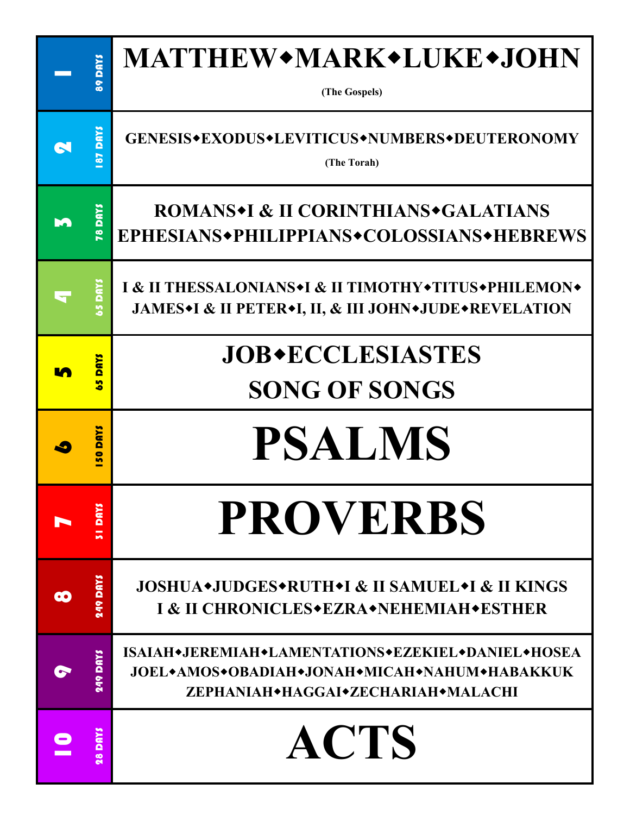| <b>SA DULLS</b>  | <b>MATTHEW*MARK*LUKE*JOHN</b><br>(The Gospels)                                                                                          |
|------------------|-----------------------------------------------------------------------------------------------------------------------------------------|
| 87 DAYS          | GENESIS+EXODUS+LEVITICUS+NUMBERS+DEUTERONOMY<br>(The Torah)                                                                             |
| <b>T8 DAYS</b>   | <b>ROMANS*I &amp; II CORINTHIANS*GALATIANS</b><br>EPHESIANS+PHILIPPIANS+COLOSSIANS+HEBREWS                                              |
| <b>TUICE</b>     | I & II THESSALONIANS <sup>*</sup> I & II TIMOTHY*TITUS*PHILEMON*<br><b>JAMES*I &amp; II PETER*I, II, &amp; III JOHN*JUDE*REVELATION</b> |
| <b>SAUD</b><br>m | <b>JOB*ECCLESIASTES</b><br><b>SONG OF SONGS</b>                                                                                         |
| <u>savd</u>      | <b>PSALMS</b>                                                                                                                           |
| $\bullet$<br>m   |                                                                                                                                         |
| <b>STIPOLYS</b>  | <b>PROVERBS</b>                                                                                                                         |
| <b>SAUG 6PT</b>  | <b>JOSHUA*JUDGES*RUTH*I &amp; II SAMUEL*I &amp; II KINGS</b><br>I & II CHRONICLES*EZRA*NEHEMIAH*ESTHER                                  |
| <b>SAUG 6PT</b>  | ISAIAH•JEREMIAH•LAMENTATIONS•EZEKIEL•DANIEL•HOSEA<br>JOEL•AMOS•OBADIAH•JONAH•MICAH•NAHUM•HABAKKUK<br>ZEPHANIAH+HAGGAI+ZECHARIAH+MALACHI |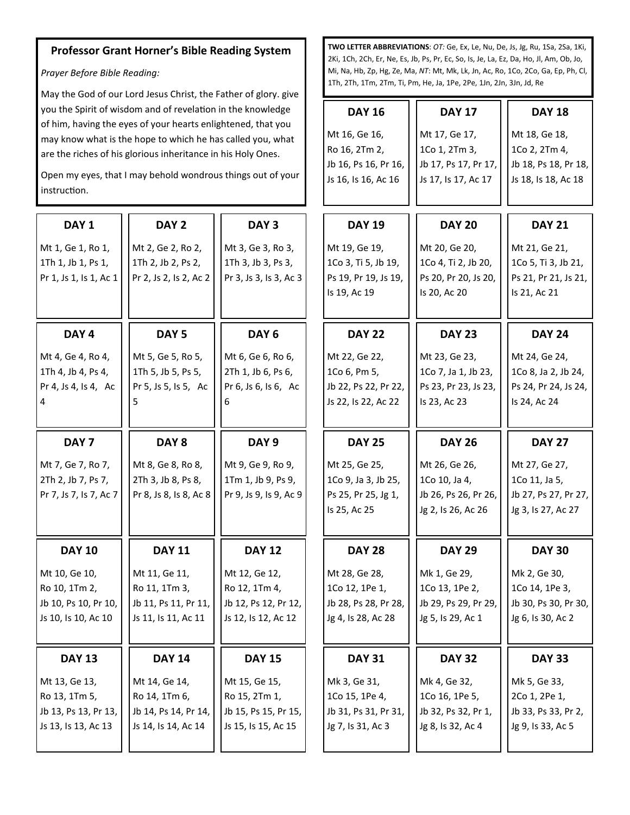## **Professor Grant Horner's Bible Reading System**

*Prayer Before Bible Reading:*

May the God of our Lord Jesus Christ, the Father of glory. give you the Spirit of wisdom and of revelation in the knowledge of him, having the eyes of your hearts enlightened, that you may know what is the hope to which he has called you, what are the riches of his glorious inheritance in his Holy Ones.

Open my eyes, that I may behold wondrous things out of your instruction.

**DAY 1** Mt 1, Ge 1, Ro 1, 1Th 1, Jb 1, Ps 1, Pr 1, Js 1, Is 1, Ac 1 **DAY 2** Mt 2, Ge 2, Ro 2, 1Th 2, Jb 2, Ps 2, Pr 2, Js 2, Is 2, Ac 2 **DAY 3** Mt 3, Ge 3, Ro 3, 1Th 3, Jb 3, Ps 3, Pr 3, Js 3, Is 3, Ac 3 **DAY 4** Mt 4, Ge 4, Ro 4, 1Th 4, Jb 4, Ps 4, Pr 4, Js 4, Is 4, Ac 4 **DAY 5** Mt 5, Ge 5, Ro 5, 1Th 5, Jb 5, Ps 5, Pr 5, Js 5, Is 5, Ac 5 **DAY 6** Mt 6, Ge 6, Ro 6, 2Th 1, Jb 6, Ps 6, Pr 6, Js 6, Is 6, Ac 6 **DAY 7** Mt 7, Ge 7, Ro 7, 2Th 2, Jb 7, Ps 7, Pr 7, Js 7, Is 7, Ac 7 **DAY 8** Mt 8, Ge 8, Ro 8, 2Th 3, Jb 8, Ps 8, Pr 8, Js 8, Is 8, Ac 8 **DAY 9** Mt 9, Ge 9, Ro 9, 1Tm 1, Jb 9, Ps 9, Pr 9, Js 9, Is 9, Ac 9 **DAY 10** Mt 10, Ge 10, Ro 10, 1Tm 2, Jb 10, Ps 10, Pr 10, Js 10, Is 10, Ac 10 **DAY 11** Mt 11, Ge 11, Ro 11, 1Tm 3, Jb 11, Ps 11, Pr 11, Js 11, Is 11, Ac 11 **DAY 12** Mt 12, Ge 12, Ro 12, 1Tm 4, Jb 12, Ps 12, Pr 12, Js 12, Is 12, Ac 12 **DAY 13** Mt 13, Ge 13, Ro 13, 1Tm 5, Jb 13, Ps 13, Pr 13, Js 13, Is 13, Ac 13 **DAY 14** Mt 14, Ge 14, Ro 14, 1Tm 6, Jb 14, Ps 14, Pr 14, Js 14, Is 14, Ac 14 **DAY 15** Mt 15, Ge 15, Ro 15, 2Tm 1, Jb 15, Ps 15, Pr 15, Js 15, Is 15, Ac 15 **DAY 19**  $M<sub>1</sub>$  $1C$ Ps 19, Pr 19, Js 19,  $\sf ls$ **DAY 20** Mt 20, Ge 20, 1Co 4, Ti 2, Jb 20, Ps 20, Pr 20, Js 20, Is 20, Ac 20 **DAY 22**  $M<sub>1</sub>$  $1C$ Jb 22, Ps 22, Pr 22, Js 22, Is 22, Ac 22 **DAY 23** Mt 23, Ge 23, 1Co 7, Ja 1, Jb 23, Ps 23, Pr 23, Js 23, Is 23, Ac 23 **DAY 25**  $M<sub>1</sub>$  $1C$ Ps 25, Pr 25, Jg 1,  $\mathsf{Is}$ **DAY 26** Mt 26, Ge 26, 1Co 10, Ja 4, Jb 26, Ps 26, Pr 26, Jg 2, Is 26, Ac 26 **DAY 28**  $M<sub>1</sub>$  $1C$ Jb 28, Ps 28, Pr 28, Jg 4, Is 28, Ac 28 **DAY 29** Mk 1, Ge 29, 1Co 13, 1Pe 2, Jb 29, Ps 29, Pr 29, Jg 5, Is 29, Ac 1 **DAY 31**  $M<sub>l</sub>$  $1C$ Jb 31, Ps 31, Pr 31, Jg 7, Is 31, Ac 3 **DAY 32** Mk 4, Ge 32, 1Co 16, 1Pe 5, Jb 32, Ps 32, Pr 1, Jg 8, Is 32, Ac 4

**TWO LETTER ABBREVIATIONS**: *OT:* Ge, Ex, Le, Nu, De, Js, Jg, Ru, 1Sa, 2Sa, 1Ki, 2Ki, 1Ch, 2Ch, Er, Ne, Es, Jb, Ps, Pr, Ec, So, Is, Je, La, Ez, Da, Ho, Jl, Am, Ob, Jo, Mi, Na, Hb, Zp, Hg, Ze, Ma, *NT*: Mt, Mk, Lk, Jn, Ac, Ro, 1Co, 2Co, Ga, Ep, Ph, Cl, 1Th, 2Th, 1Tm, 2Tm, Ti, Pm, He, Ja, 1Pe, 2Pe, 1Jn, 2Jn, 3Jn, Jd, Re

| <b>DAY 16</b>        | <b>DAY 17</b>        | <b>DAY 18</b>        |  |
|----------------------|----------------------|----------------------|--|
| Mt 16, Ge 16,        | Mt 17, Ge 17,        | Mt 18, Ge 18,        |  |
| Ro 16, 2Tm 2,        | 1Co 1, 2Tm 3,        | 1Co 2, 2Tm 4,        |  |
| Jb 16, Ps 16, Pr 16, | Jb 17, Ps 17, Pr 17, | Jb 18, Ps 18, Pr 18, |  |
| Js 16, ls 16, Ac 16  | Js 17, ls 17, Ac 17  | Js 18, Is 18, Ac 18  |  |
|                      |                      |                      |  |
| <b>DAY 19</b>        | <b>DAY 20</b>        | <b>DAY 21</b>        |  |
| Mt 19, Ge 19,        | Mt 20, Ge 20,        | Mt 21, Ge 21,        |  |
| 1Co 3, Ti 5, Jb 19,  | 1Co 4, Ti 2, Jb 20,  | 1Co 5, Ti 3, Jb 21,  |  |
| Ps 19, Pr 19, Js 19, | Ps 20, Pr 20, Js 20, | Ps 21, Pr 21, Js 21, |  |
| Is 19, Ac 19         | Is 20, Ac 20         | Is 21, Ac 21         |  |
|                      |                      |                      |  |
| <b>DAY 22</b>        | <b>DAY 23</b>        | <b>DAY 24</b>        |  |
| Mt 22, Ge 22,        | Mt 23, Ge 23,        | Mt 24, Ge 24,        |  |
| 1Co 6, Pm 5,         | 1Co 7, Ja 1, Jb 23,  | 1Co 8, Ja 2, Jb 24,  |  |
| Jb 22, Ps 22, Pr 22, | Ps 23, Pr 23, Js 23, | Ps 24, Pr 24, Js 24, |  |
| Js 22, Is 22, Ac 22  | Is 23, Ac 23         | Is 24, Ac 24         |  |
|                      |                      |                      |  |
|                      |                      |                      |  |
| <b>DAY 25</b>        | <b>DAY 26</b>        | <b>DAY 27</b>        |  |
| Mt 25, Ge 25,        | Mt 26, Ge 26,        | Mt 27, Ge 27,        |  |
| 1Co 9, Ja 3, Jb 25,  | 1Co 10, Ja 4,        | 1Co 11, Ja 5,        |  |
| Ps 25, Pr 25, Jg 1,  | Jb 26, Ps 26, Pr 26, | Jb 27, Ps 27, Pr 27, |  |
| Is 25, Ac 25         | Jg 2, Is 26, Ac 26   | Jg 3, Is 27, Ac 27   |  |
| <b>DAY 28</b>        | <b>DAY 29</b>        | <b>DAY 30</b>        |  |
|                      |                      |                      |  |
| Mt 28, Ge 28,        | Mk 1, Ge 29,         | Mk 2, Ge 30,         |  |
| 1Co 12, 1Pe 1,       | 1Co 13, 1Pe 2,       | 1Co 14, 1Pe 3,       |  |
| Jb 28, Ps 28, Pr 28, | Jb 29, Ps 29, Pr 29, | Jb 30, Ps 30, Pr 30, |  |
| Jg 4, Is 28, Ac 28   | Jg 5, Is 29, Ac 1    | Jg 6, Is 30, Ac 2    |  |
| DAY 31               | <b>DAY 32</b>        | <b>DAY 33</b>        |  |
| Mk 3, Ge 31,         | Mk 4, Ge 32,         | Mk 5, Ge 33,         |  |
| 1Co 15, 1Pe 4,       | 1Co 16, 1Pe 5,       | 2Co 1, 2Pe 1,        |  |
| Jb 31, Ps 31, Pr 31, | Jb 32, Ps 32, Pr 1,  | Jb 33, Ps 33, Pr 2,  |  |
| Jg 7, Is 31, Ac 3    | Jg 8, Is 32, Ac 4    | Jg 9, Is 33, Ac 5    |  |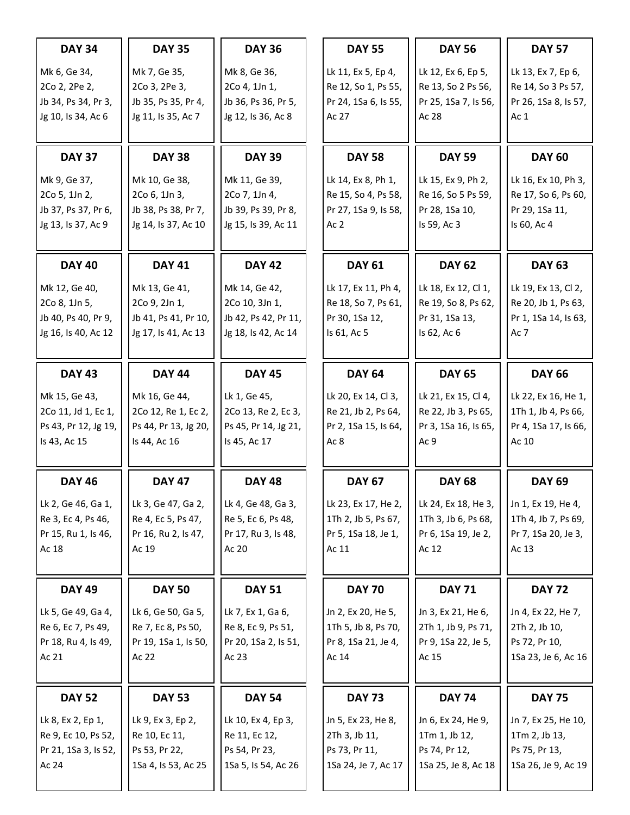| <b>DAY 34</b>        | <b>DAY 35</b>        | <b>DAY 36</b>        | <b>DAY 55</b>        | <b>DAY 56</b>        | <b>DAY 57</b>        |
|----------------------|----------------------|----------------------|----------------------|----------------------|----------------------|
| Mk 6, Ge 34,         | Mk 7, Ge 35,         | Mk 8, Ge 36,         | Lk 11, Ex 5, Ep 4,   | Lk 12, Ex 6, Ep 5,   | Lk 13, Ex 7, Ep 6,   |
| 2Co 2, 2Pe 2,        | 2Co 3, 2Pe 3,        | 2Co 4, 1Jn 1,        | Re 12, So 1, Ps 55,  | Re 13, So 2 Ps 56,   | Re 14, So 3 Ps 57,   |
| Jb 34, Ps 34, Pr 3,  | Jb 35, Ps 35, Pr 4,  | Jb 36, Ps 36, Pr 5,  | Pr 24, 1Sa 6, Is 55, | Pr 25, 1Sa 7, Is 56, | Pr 26, 1Sa 8, Is 57, |
| Jg 10, Is 34, Ac 6   | Jg 11, Is 35, Ac 7   | Jg 12, Is 36, Ac 8   | Ac 27                | Ac 28                | Ac $1$               |
| <b>DAY 37</b>        | <b>DAY 38</b>        | <b>DAY 39</b>        | <b>DAY 58</b>        | <b>DAY 59</b>        | <b>DAY 60</b>        |
| Mk 9, Ge 37,         | Mk 10, Ge 38,        | Mk 11, Ge 39,        | Lk 14, Ex 8, Ph 1,   | Lk 15, Ex 9, Ph 2,   | Lk 16, Ex 10, Ph 3,  |
| 2Co 5, 1Jn 2,        | 2Co 6, 1Jn 3,        | 2Co 7, 1Jn 4,        | Re 15, So 4, Ps 58,  | Re 16, So 5 Ps 59,   | Re 17, So 6, Ps 60,  |
| Jb 37, Ps 37, Pr 6,  | Jb 38, Ps 38, Pr 7,  | Jb 39, Ps 39, Pr 8,  | Pr 27, 1Sa 9, Is 58, | Pr 28, 1Sa 10,       | Pr 29, 1Sa 11,       |
| Jg 13, Is 37, Ac 9   | Jg 14, Is 37, Ac 10  | Jg 15, Is 39, Ac 11  | Ac <sub>2</sub>      | Is 59, Ac 3          | Is 60, Ac 4          |
| <b>DAY 40</b>        | <b>DAY 41</b>        | <b>DAY 42</b>        | <b>DAY 61</b>        | <b>DAY 62</b>        | <b>DAY 63</b>        |
| Mk 12, Ge 40,        | Mk 13, Ge 41,        | Mk 14, Ge 42,        | Lk 17, Ex 11, Ph 4,  | Lk 18, Ex 12, Cl 1,  | Lk 19, Ex 13, Cl 2,  |
| 2Co 8, 1Jn 5,        | 2Co 9, 2Jn 1,        | 2Co 10, 3Jn 1,       | Re 18, So 7, Ps 61,  | Re 19, So 8, Ps 62,  | Re 20, Jb 1, Ps 63,  |
| Jb 40, Ps 40, Pr 9,  | Jb 41, Ps 41, Pr 10, | Jb 42, Ps 42, Pr 11, | Pr 30, 1Sa 12,       | Pr 31, 1Sa 13,       | Pr 1, 1Sa 14, Is 63, |
| Jg 16, Is 40, Ac 12  | Jg 17, Is 41, Ac 13  | Jg 18, Is 42, Ac 14  | Is 61, Ac 5          | Is 62, Ac 6          | Ac 7                 |
| <b>DAY 43</b>        | <b>DAY 44</b>        | <b>DAY 45</b>        | <b>DAY 64</b>        | <b>DAY 65</b>        | <b>DAY 66</b>        |
| Mk 15, Ge 43,        | Mk 16, Ge 44,        | Lk 1, Ge 45,         | Lk 20, Ex 14, Cl 3,  | Lk 21, Ex 15, Cl 4,  | Lk 22, Ex 16, He 1,  |
| 2Co 11, Jd 1, Ec 1,  | 2Co 12, Re 1, Ec 2,  | 2Co 13, Re 2, Ec 3,  | Re 21, Jb 2, Ps 64,  | Re 22, Jb 3, Ps 65,  | 1Th 1, Jb 4, Ps 66,  |
| Ps 43, Pr 12, Jg 19, | Ps 44, Pr 13, Jg 20, | Ps 45, Pr 14, Jg 21, | Pr 2, 1Sa 15, Is 64, | Pr 3, 1Sa 16, Is 65, | Pr 4, 1Sa 17, Is 66, |
| Is 43, Ac 15         | Is 44, Ac 16         | Is 45, Ac 17         | Ac 8                 | Ac 9                 | Ac 10                |
| <b>DAY 46</b>        | <b>DAY 47</b>        | <b>DAY 48</b>        | <b>DAY 67</b>        | <b>DAY 68</b>        | <b>DAY 69</b>        |
| Lk 2, Ge 46, Ga 1,   | Lk 3, Ge 47, Ga 2,   | Lk 4, Ge 48, Ga 3,   | Lk 23, Ex 17, He 2,  | Lk 24, Ex 18, He 3,  | Jn 1, Ex 19, He 4,   |
| Re 3, Ec 4, Ps 46,   | Re 4, Ec 5, Ps 47,   | Re 5, Ec 6, Ps 48,   | 1Th 2, Jb 5, Ps 67,  | 1Th 3, Jb 6, Ps 68,  | 1Th 4, Jb 7, Ps 69,  |
| Pr 15, Ru 1, Is 46,  | Pr 16, Ru 2, Is 47,  | Pr 17, Ru 3, Is 48,  | Pr 5, 1Sa 18, Je 1,  | Pr 6, 1Sa 19, Je 2,  | Pr 7, 1Sa 20, Je 3,  |
| Ac 18                | Ac 19                | Ac 20                | Ac 11                | Ac 12                | Ac 13                |
| <b>DAY 49</b>        | <b>DAY 50</b>        | <b>DAY 51</b>        | <b>DAY 70</b>        | <b>DAY 71</b>        | <b>DAY 72</b>        |
| Lk 5, Ge 49, Ga 4,   | Lk 6, Ge 50, Ga 5,   | Lk 7, Ex 1, Ga 6,    | Jn 2, Ex 20, He 5,   | Jn 3, Ex 21, He 6,   | Jn 4, Ex 22, He 7,   |
| Re 6, Ec 7, Ps 49,   | Re 7, Ec 8, Ps 50,   | Re 8, Ec 9, Ps 51,   | 1Th 5, Jb 8, Ps 70,  | 2Th 1, Jb 9, Ps 71,  | 2Th 2, Jb 10,        |
| Pr 18, Ru 4, Is 49,  | Pr 19, 1Sa 1, Is 50, | Pr 20, 1Sa 2, Is 51, | Pr 8, 1Sa 21, Je 4,  | Pr 9, 1Sa 22, Je 5,  | Ps 72, Pr 10,        |
| Ac 21                | Ac 22                | Ac 23                | Ac 14                | Ac 15                | 1Sa 23, Je 6, Ac 16  |
| <b>DAY 52</b>        | <b>DAY 53</b>        | <b>DAY 54</b>        | <b>DAY 73</b>        | <b>DAY 74</b>        | <b>DAY 75</b>        |
| Lk 8, Ex 2, Ep 1,    | Lk 9, Ex 3, Ep 2,    | Lk 10, Ex 4, Ep 3,   | Jn 5, Ex 23, He 8,   | Jn 6, Ex 24, He 9,   | Jn 7, Ex 25, He 10,  |
| Re 9, Ec 10, Ps 52,  | Re 10, Ec 11,        | Re 11, Ec 12,        | 2Th 3, Jb 11,        | 1Tm 1, Jb 12,        | 1Tm 2, Jb 13,        |
| Pr 21, 1Sa 3, Is 52, | Ps 53, Pr 22,        | Ps 54, Pr 23,        | Ps 73, Pr 11,        | Ps 74, Pr 12,        | Ps 75, Pr 13,        |
| Ac 24                | 1Sa 4, ls 53, Ac 25  | 1Sa 5, ls 54, Ac 26  | 1Sa 24, Je 7, Ac 17  | 1Sa 25, Je 8, Ac 18  | 1Sa 26, Je 9, Ac 19  |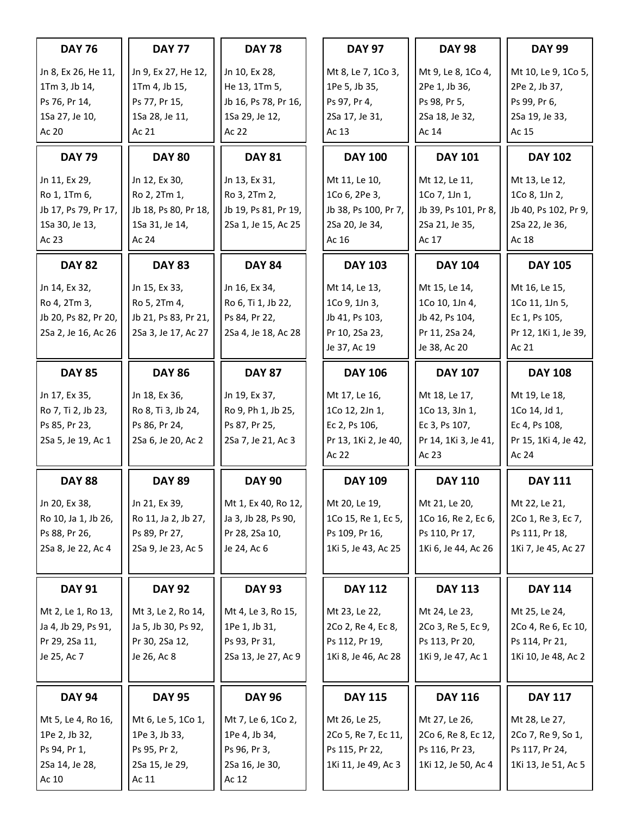| <b>DAY 76</b>                 | <b>DAY 77</b>                         | <b>DAY 78</b>                        | <b>DAY 97</b>                         | <b>DAY 98</b>                        | <b>DAY 99</b>                         |
|-------------------------------|---------------------------------------|--------------------------------------|---------------------------------------|--------------------------------------|---------------------------------------|
| Jn 8, Ex 26, He 11,           | Jn 9, Ex 27, He 12,                   | Jn 10, Ex 28,                        | Mt 8, Le 7, 1Co 3,                    | Mt 9, Le 8, 1Co 4,                   | Mt 10, Le 9, 1Co 5,                   |
| 1Tm 3, Jb 14,                 | 1Tm 4, Jb 15,                         | He 13, 1Tm 5,                        | 1Pe 5, Jb 35,                         | 2Pe 1, Jb 36,                        | 2Pe 2, Jb 37,                         |
| Ps 76, Pr 14,                 | Ps 77, Pr 15,                         | Jb 16, Ps 78, Pr 16,                 | Ps 97, Pr 4,                          | Ps 98, Pr 5,                         | Ps 99, Pr 6,                          |
| 1Sa 27, Je 10,                | 1Sa 28, Je 11,                        | 1Sa 29, Je 12,                       | 2Sa 17, Je 31,                        | 2Sa 18, Je 32,                       | 2Sa 19, Je 33,                        |
| Ac 20                         | Ac 21                                 | Ac 22                                | Ac 13                                 | Ac 14                                | Ac 15                                 |
| <b>DAY 79</b>                 | <b>DAY 80</b>                         | <b>DAY 81</b>                        | <b>DAY 100</b>                        | <b>DAY 101</b>                       | <b>DAY 102</b>                        |
| Jn 11, Ex 29,                 | Jn 12, Ex 30,                         | Jn 13, Ex 31,                        | Mt 11, Le 10,                         | Mt 12, Le 11,                        | Mt 13, Le 12,                         |
| Ro 1, 1Tm 6,                  | Ro 2, 2Tm 1,                          | Ro 3, 2Tm 2,                         | 1Co 6, 2Pe 3,                         | 1Co 7, 1Jn 1,                        | 1Co 8, 1Jn 2,                         |
| Jb 17, Ps 79, Pr 17,          | Jb 18, Ps 80, Pr 18,                  | Jb 19, Ps 81, Pr 19,                 | Jb 38, Ps 100, Pr 7,                  | Jb 39, Ps 101, Pr 8,                 | Jb 40, Ps 102, Pr 9,                  |
| 1Sa 30, Je 13,                | 1Sa 31, Je 14,                        | 2Sa 1, Je 15, Ac 25                  | 2Sa 20, Je 34,                        | 2Sa 21, Je 35,                       | 2Sa 22, Je 36,                        |
| Ac 23                         | Ac 24                                 |                                      | Ac 16                                 | Ac 17                                | Ac 18                                 |
| <b>DAY 82</b>                 | <b>DAY 83</b>                         | <b>DAY 84</b>                        | <b>DAY 103</b>                        | <b>DAY 104</b>                       | <b>DAY 105</b>                        |
| Jn 14, Ex 32,                 | Jn 15, Ex 33,                         | Jn 16, Ex 34,                        | Mt 14, Le 13,                         | Mt 15, Le 14,                        | Mt 16, Le 15,                         |
| Ro 4, 2Tm 3,                  | Ro 5, 2Tm 4,                          | Ro 6, Ti 1, Jb 22,                   | 1Co 9, 1Jn 3,                         | 1Co 10, 1Jn 4,                       | 1Co 11, 1Jn 5,                        |
| Jb 20, Ps 82, Pr 20,          | Jb 21, Ps 83, Pr 21,                  | Ps 84, Pr 22,                        | Jb 41, Ps 103,                        | Jb 42, Ps 104,                       | Ec 1, Ps 105,                         |
| 2Sa 2, Je 16, Ac 26           | 2Sa 3, Je 17, Ac 27                   | 2Sa 4, Je 18, Ac 28                  | Pr 10, 2Sa 23,                        | Pr 11, 2Sa 24,                       | Pr 12, 1Ki 1, Je 39,                  |
|                               |                                       |                                      | Je 37, Ac 19                          | Je 38, Ac 20                         | Ac 21                                 |
| <b>DAY 85</b>                 | <b>DAY 86</b>                         | <b>DAY 87</b>                        | <b>DAY 106</b>                        | <b>DAY 107</b>                       | <b>DAY 108</b>                        |
| Jn 17, Ex 35,                 | Jn 18, Ex 36,                         | Jn 19, Ex 37,                        | Mt 17, Le 16,                         | Mt 18, Le 17,                        | Mt 19, Le 18,                         |
| Ro 7, Ti 2, Jb 23,            | Ro 8, Ti 3, Jb 24,                    | Ro 9, Ph 1, Jb 25,                   | 1Co 12, 2Jn 1,                        | 1Co 13, 3Jn 1,                       | 1Co 14, Jd 1,                         |
| Ps 85, Pr 23,                 | Ps 86, Pr 24,                         | Ps 87, Pr 25,                        | Ec 2, Ps 106,                         | Ec 3, Ps 107,                        | Ec 4, Ps 108,                         |
| 2Sa 5, Je 19, Ac 1            | 2Sa 6, Je 20, Ac 2                    | 2Sa 7, Je 21, Ac 3                   | Pr 13, 1Ki 2, Je 40,                  | Pr 14, 1Ki 3, Je 41,                 | Pr 15, 1Ki 4, Je 42,                  |
|                               |                                       |                                      | Ac 22                                 | Ac 23                                | Ac 24                                 |
| <b>DAY 88</b>                 | <b>DAY 89</b>                         | <b>DAY 90</b>                        | <b>DAY 109</b>                        | <b>DAY 110</b>                       | <b>DAY 111</b>                        |
| Jn 20, Ex 38,                 | Jn 21, Ex 39,                         | Mt 1, Ex 40, Ro 12,                  | Mt 20, Le 19,                         | Mt 21, Le 20,                        | Mt 22, Le 21,                         |
| Ro 10, Ja 1, Jb 26,           | Ro 11, Ja 2, Jb 27,                   | Ja 3, Jb 28, Ps 90,                  | 1Co 15, Re 1, Ec 5,                   | 1Co 16, Re 2, Ec 6,                  | 2Co 1, Re 3, Ec 7,                    |
| Ps 88, Pr 26,                 | Ps 89, Pr 27,                         | Pr 28, 2Sa 10,                       | Ps 109, Pr 16,                        | Ps 110, Pr 17,                       | Ps 111, Pr 18,                        |
| 2Sa 8, Je 22, Ac 4            | 2Sa 9, Je 23, Ac 5                    | Je 24, Ac 6                          | 1Ki 5, Je 43, Ac 25                   | 1Ki 6, Je 44, Ac 26                  | 1Ki 7, Je 45, Ac 27                   |
| <b>DAY 91</b>                 | <b>DAY 92</b>                         | <b>DAY 93</b>                        | <b>DAY 112</b>                        | <b>DAY 113</b>                       | <b>DAY 114</b>                        |
|                               |                                       |                                      |                                       |                                      |                                       |
| Mt 2, Le 1, Ro 13,            | Mt 3, Le 2, Ro 14,                    | Mt 4, Le 3, Ro 15,                   | Mt 23, Le 22,                         | Mt 24, Le 23,                        | Mt 25, Le 24,                         |
| Ja 4, Jb 29, Ps 91,           | Ja 5, Jb 30, Ps 92,<br>Pr 30, 2Sa 12, | 1Pe 1, Jb 31,                        | 2Co 2, Re 4, Ec 8,                    | 2Co 3, Re 5, Ec 9,                   | 2Co 4, Re 6, Ec 10,<br>Ps 114, Pr 21, |
| Pr 29, 2Sa 11,<br>Je 25, Ac 7 | Je 26, Ac 8                           | Ps 93, Pr 31,<br>2Sa 13, Je 27, Ac 9 | Ps 112, Pr 19,<br>1Ki 8, Je 46, Ac 28 | Ps 113, Pr 20,<br>1Ki 9, Je 47, Ac 1 | 1Ki 10, Je 48, Ac 2                   |
|                               |                                       |                                      |                                       |                                      |                                       |
| <b>DAY 94</b>                 | <b>DAY 95</b>                         | <b>DAY 96</b>                        | <b>DAY 115</b>                        | <b>DAY 116</b>                       | <b>DAY 117</b>                        |
| Mt 5, Le 4, Ro 16,            | Mt 6, Le 5, 1Co 1,                    | Mt 7, Le 6, 1Co 2,                   | Mt 26, Le 25,                         | Mt 27, Le 26,                        | Mt 28, Le 27,                         |
| 1Pe 2, Jb 32,                 | 1Pe 3, Jb 33,                         | 1Pe 4, Jb 34,                        | 2Co 5, Re 7, Ec 11,                   | 2Co 6, Re 8, Ec 12,                  | 2Co 7, Re 9, So 1,                    |
| Ps 94, Pr 1,                  | Ps 95, Pr 2,                          | Ps 96, Pr 3,                         | Ps 115, Pr 22,                        | Ps 116, Pr 23,                       | Ps 117, Pr 24,                        |
| 2Sa 14, Je 28,                | 2Sa 15, Je 29,                        | 2Sa 16, Je 30,                       | 1Ki 11, Je 49, Ac 3                   | 1Ki 12, Je 50, Ac 4                  | 1Ki 13, Je 51, Ac 5                   |
| Ac 10                         | Ac 11                                 | Ac 12                                |                                       |                                      |                                       |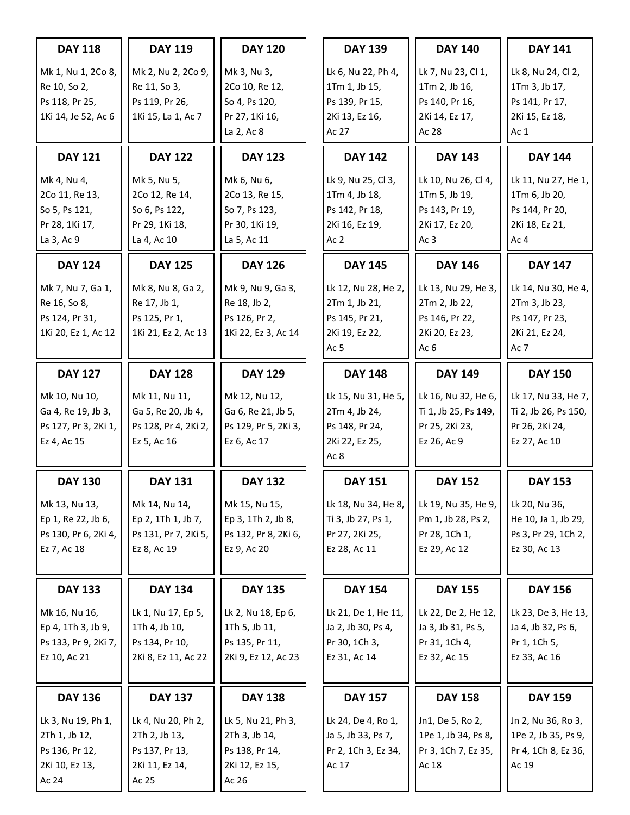| <b>DAY 118</b>                                                                   | <b>DAY 119</b>                                                                   | <b>DAY 120</b>                                                                   | <b>DAY 139</b>                                                                             | <b>DAY 140</b>                                                                              | <b>DAY 141</b>                                                                              |
|----------------------------------------------------------------------------------|----------------------------------------------------------------------------------|----------------------------------------------------------------------------------|--------------------------------------------------------------------------------------------|---------------------------------------------------------------------------------------------|---------------------------------------------------------------------------------------------|
| Mk 1, Nu 1, 2Co 8,<br>Re 10, So 2,<br>Ps 118, Pr 25,<br>1Ki 14, Je 52, Ac 6      | Mk 2, Nu 2, 2Co 9,<br>Re 11, So 3,<br>Ps 119, Pr 26,<br>1Ki 15, La 1, Ac 7       | Mk 3, Nu 3,<br>2Co 10, Re 12,<br>So 4, Ps 120,<br>Pr 27, 1Ki 16,<br>La 2, Ac 8   | Lk 6, Nu 22, Ph 4,<br>1Tm 1, Jb 15,<br>Ps 139, Pr 15,<br>2Ki 13, Ez 16,<br>Ac 27           | Lk 7, Nu 23, Cl 1,<br>1Tm 2, Jb 16,<br>Ps 140, Pr 16,<br>2Ki 14, Ez 17,<br>Ac 28            | Lk 8, Nu 24, Cl 2,<br>1Tm 3, Jb 17,<br>Ps 141, Pr 17,<br>2Ki 15, Ez 18,<br>Ac $1$           |
| <b>DAY 121</b>                                                                   | <b>DAY 122</b>                                                                   | <b>DAY 123</b>                                                                   | <b>DAY 142</b>                                                                             | <b>DAY 143</b>                                                                              | <b>DAY 144</b>                                                                              |
| Mk 4, Nu 4,<br>2Co 11, Re 13,<br>So 5, Ps 121,<br>Pr 28, 1Ki 17,<br>La 3, Ac 9   | Mk 5, Nu 5,<br>2Co 12, Re 14,<br>So 6, Ps 122,<br>Pr 29, 1Ki 18,<br>La 4, Ac 10  | Mk 6, Nu 6,<br>2Co 13, Re 15,<br>So 7, Ps 123,<br>Pr 30, 1Ki 19,<br>La 5, Ac 11  | Lk 9, Nu 25, Cl 3,<br>1Tm 4, Jb 18,<br>Ps 142, Pr 18,<br>2Ki 16, Ez 19,<br>Ac <sub>2</sub> | Lk 10, Nu 26, Cl 4,<br>1Tm 5, Jb 19,<br>Ps 143, Pr 19,<br>2Ki 17, Ez 20,<br>Ac <sub>3</sub> | Lk 11, Nu 27, He 1,<br>1Tm 6, Jb 20,<br>Ps 144, Pr 20,<br>2Ki 18, Ez 21,<br>Ac <sub>4</sub> |
| <b>DAY 124</b>                                                                   | <b>DAY 125</b>                                                                   | <b>DAY 126</b>                                                                   | <b>DAY 145</b>                                                                             | <b>DAY 146</b>                                                                              | <b>DAY 147</b>                                                                              |
| Mk 7, Nu 7, Ga 1,<br>Re 16, So 8,<br>Ps 124, Pr 31,<br>1Ki 20, Ez 1, Ac 12       | Mk 8, Nu 8, Ga 2,<br>Re 17, Jb 1,<br>Ps 125, Pr 1,<br>1Ki 21, Ez 2, Ac 13        | Mk 9, Nu 9, Ga 3,<br>Re 18, Jb 2,<br>Ps 126, Pr 2,<br>1Ki 22, Ez 3, Ac 14        | Lk 12, Nu 28, He 2,<br>2Tm 1, Jb 21,<br>Ps 145, Pr 21,<br>2Ki 19, Ez 22,<br>Ac 5           | Lk 13, Nu 29, He 3,<br>2Tm 2, Jb 22,<br>Ps 146, Pr 22,<br>2Ki 20, Ez 23,<br>Ac 6            | Lk 14, Nu 30, He 4,<br>2Tm 3, Jb 23,<br>Ps 147, Pr 23,<br>2Ki 21, Ez 24,<br>Ac 7            |
| <b>DAY 127</b>                                                                   | <b>DAY 128</b>                                                                   | <b>DAY 129</b>                                                                   | <b>DAY 148</b>                                                                             | <b>DAY 149</b>                                                                              | <b>DAY 150</b>                                                                              |
| Mk 10, Nu 10,<br>Ga 4, Re 19, Jb 3,<br>Ps 127, Pr 3, 2Ki 1,<br>Ez 4, Ac 15       | Mk 11, Nu 11,<br>Ga 5, Re 20, Jb 4,<br>Ps 128, Pr 4, 2Ki 2,<br>Ez 5, Ac 16       | Mk 12, Nu 12,<br>Ga 6, Re 21, Jb 5,<br>Ps 129, Pr 5, 2Ki 3,<br>Ez 6, Ac 17       | Lk 15, Nu 31, He 5,<br>2Tm 4, Jb 24,<br>Ps 148, Pr 24,<br>2Ki 22, Ez 25,<br>Ac 8           | Lk 16, Nu 32, He 6,<br>Ti 1, Jb 25, Ps 149,<br>Pr 25, 2Ki 23,<br>Ez 26, Ac 9                | Lk 17, Nu 33, He 7,<br>Ti 2, Jb 26, Ps 150,<br>Pr 26, 2Ki 24,<br>Ez 27, Ac 10               |
| <b>DAY 130</b>                                                                   | <b>DAY 131</b>                                                                   | <b>DAY 132</b>                                                                   | <b>DAY 151</b>                                                                             | <b>DAY 152</b>                                                                              | <b>DAY 153</b>                                                                              |
| Mk 13, Nu 13,<br>Ep 1, Re 22, Jb 6,<br>Ps 130, Pr 6, 2Ki 4,<br>Ez 7, Ac 18       | Mk 14, Nu 14,<br>Ep 2, 1Th 1, Jb 7,<br>Ps 131, Pr 7, 2Ki 5,<br>Ez 8, Ac 19       | Mk 15, Nu 15,<br>Ep 3, 1Th 2, Jb 8,<br>Ps 132, Pr 8, 2Ki 6,<br>Ez 9, Ac 20       | Lk 18, Nu 34, He 8,<br>Ti 3, Jb 27, Ps 1,<br>Pr 27, 2Ki 25,<br>Ez 28, Ac 11                | Lk 19, Nu 35, He 9,<br>Pm 1, Jb 28, Ps 2,<br>Pr 28, 1Ch 1,<br>Ez 29, Ac 12                  | Lk 20, Nu 36,<br>He 10, Ja 1, Jb 29,<br>Ps 3, Pr 29, 1Ch 2,<br>Ez 30, Ac 13                 |
| <b>DAY 133</b>                                                                   | <b>DAY 134</b>                                                                   | <b>DAY 135</b>                                                                   | <b>DAY 154</b>                                                                             | <b>DAY 155</b>                                                                              | <b>DAY 156</b>                                                                              |
| Mk 16, Nu 16,<br>Ep 4, 1Th 3, Jb 9,<br>Ps 133, Pr 9, 2Ki 7,<br>Ez 10, Ac 21      | Lk 1, Nu 17, Ep 5,<br>1Th 4, Jb 10,<br>Ps 134, Pr 10,<br>2Ki 8, Ez 11, Ac 22     | Lk 2, Nu 18, Ep 6,<br>1Th 5, Jb 11,<br>Ps 135, Pr 11,<br>2Ki 9, Ez 12, Ac 23     | Lk 21, De 1, He 11,<br>Ja 2, Jb 30, Ps 4,<br>Pr 30, 1Ch 3,<br>Ez 31, Ac 14                 | Lk 22, De 2, He 12,<br>Ja 3, Jb 31, Ps 5,<br>Pr 31, 1Ch 4,<br>Ez 32, Ac 15                  | Lk 23, De 3, He 13,<br>Ja 4, Jb 32, Ps 6,<br>Pr 1, 1Ch 5,<br>Ez 33, Ac 16                   |
| <b>DAY 136</b>                                                                   | <b>DAY 137</b>                                                                   | <b>DAY 138</b>                                                                   | <b>DAY 157</b>                                                                             | <b>DAY 158</b>                                                                              | <b>DAY 159</b>                                                                              |
| Lk 3, Nu 19, Ph 1,<br>2Th 1, Jb 12,<br>Ps 136, Pr 12,<br>2Ki 10, Ez 13,<br>Ac 24 | Lk 4, Nu 20, Ph 2,<br>2Th 2, Jb 13,<br>Ps 137, Pr 13,<br>2Ki 11, Ez 14,<br>Ac 25 | Lk 5, Nu 21, Ph 3,<br>2Th 3, Jb 14,<br>Ps 138, Pr 14,<br>2Ki 12, Ez 15,<br>Ac 26 | Lk 24, De 4, Ro 1,<br>Ja 5, Jb 33, Ps 7,<br>Pr 2, 1Ch 3, Ez 34,<br>Ac 17                   | Jn1, De 5, Ro 2,<br>1Pe 1, Jb 34, Ps 8,<br>Pr 3, 1Ch 7, Ez 35,<br>Ac 18                     | Jn 2, Nu 36, Ro 3,<br>1Pe 2, Jb 35, Ps 9,<br>Pr 4, 1Ch 8, Ez 36,<br>Ac 19                   |